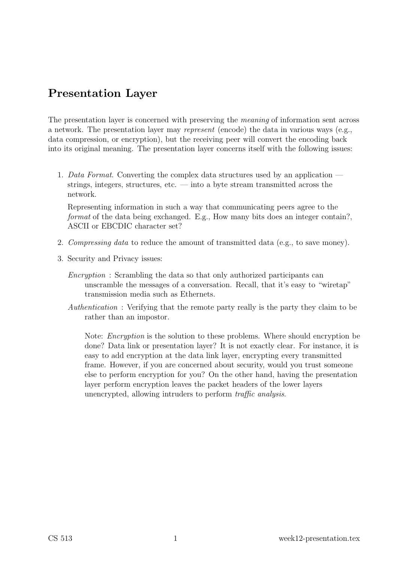# Presentation Layer

The presentation layer is concerned with preserving the meaning of information sent across a network. The presentation layer may represent (encode) the data in various ways (e.g., data compression, or encryption), but the receiving peer will convert the encoding back into its original meaning. The presentation layer concerns itself with the following issues:

1. Data Format. Converting the complex data structures used by an application strings, integers, structures, etc. — into a byte stream transmitted across the network.

Representing information in such a way that communicating peers agree to the format of the data being exchanged. E.g., How many bits does an integer contain?, ASCII or EBCDIC character set?

- 2. Compressing data to reduce the amount of transmitted data (e.g., to save money).
- 3. Security and Privacy issues:
	- Encryption : Scrambling the data so that only authorized participants can unscramble the messages of a conversation. Recall, that it's easy to "wiretap" transmission media such as Ethernets.
	- Authentication : Verifying that the remote party really is the party they claim to be rather than an impostor.

Note: Encryption is the solution to these problems. Where should encryption be done? Data link or presentation layer? It is not exactly clear. For instance, it is easy to add encryption at the data link layer, encrypting every transmitted frame. However, if you are concerned about security, would you trust someone else to perform encryption for you? On the other hand, having the presentation layer perform encryption leaves the packet headers of the lower layers unencrypted, allowing intruders to perform traffic analysis.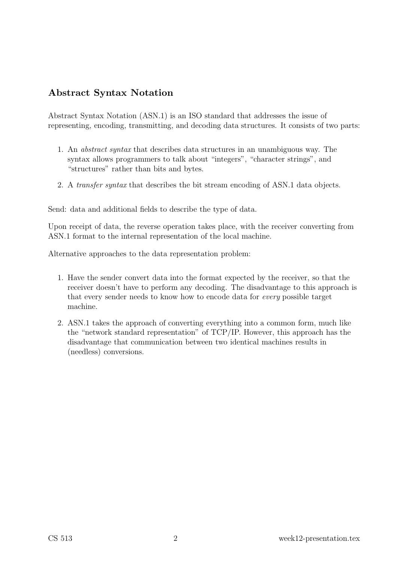# Abstract Syntax Notation

Abstract Syntax Notation (ASN.1) is an ISO standard that addresses the issue of representing, encoding, transmitting, and decoding data structures. It consists of two parts:

- 1. An abstract syntax that describes data structures in an unambiguous way. The syntax allows programmers to talk about "integers", "character strings", and "structures" rather than bits and bytes.
- 2. A transfer syntax that describes the bit stream encoding of ASN.1 data objects.

Send: data and additional fields to describe the type of data.

Upon receipt of data, the reverse operation takes place, with the receiver converting from ASN.1 format to the internal representation of the local machine.

Alternative approaches to the data representation problem:

- 1. Have the sender convert data into the format expected by the receiver, so that the receiver doesn't have to perform any decoding. The disadvantage to this approach is that every sender needs to know how to encode data for every possible target machine.
- 2. ASN.1 takes the approach of converting everything into a common form, much like the "network standard representation" of TCP/IP. However, this approach has the disadvantage that communication between two identical machines results in (needless) conversions.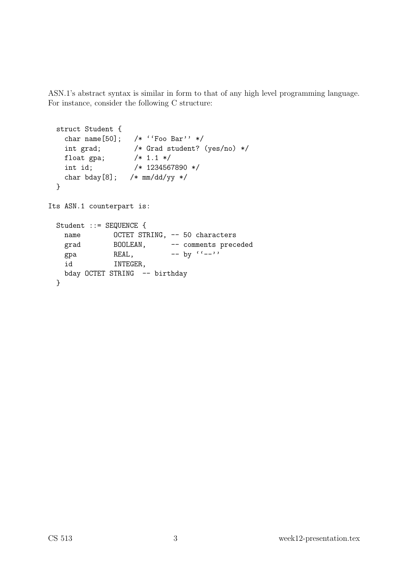ASN.1's abstract syntax is similar in form to that of any high level programming language. For instance, consider the following C structure:

```
struct Student {
   char name[50]; /* ''Foo Bar'' */
   int grad; /* Grad student? (yes/no) */
   float gpa; /* 1.1 */
   int id; /* 1234567890 */
   char bday[8]; /* mm/dd/yy */
 }
Its ASN.1 counterpart is:
 Student ::= SEQUENCE {
   name OCTET STRING, -- 50 characters
   grad BOOLEAN, -- comments preceded
   gpa REAL, - by (-)id INTEGER,
   bday OCTET STRING -- birthday
 }
```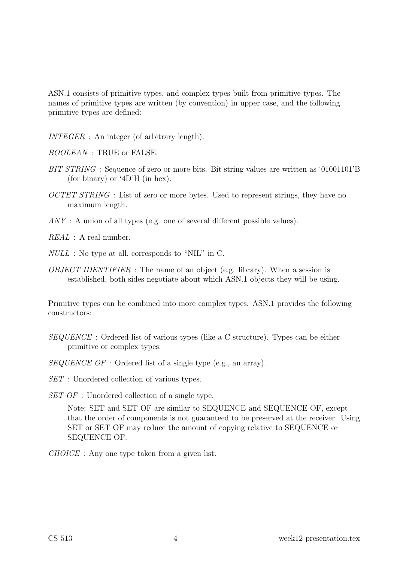ASN.1 consists of primitive types, and complex types built from primitive types. The names of primitive types are written (by convention) in upper case, and the following primitive types are defined:

INTEGER : An integer (of arbitrary length).

BOOLEAN : TRUE or FALSE.

- BIT STRING : Sequence of zero or more bits. Bit string values are written as '01001101'B (for binary) or '4D'H (in hex).
- OCTET STRING : List of zero or more bytes. Used to represent strings, they have no maximum length.
- ANY : A union of all types (e.g. one of several different possible values).

 $REAL$ : A real number.

- NULL : No type at all, corresponds to "NIL" in C.
- OBJECT IDENTIFIER : The name of an object (e.g. library). When a session is established, both sides negotiate about which ASN.1 objects they will be using.

Primitive types can be combined into more complex types. ASN.1 provides the following constructors:

- SEQUENCE : Ordered list of various types (like a C structure). Types can be either primitive or complex types.
- SEQUENCE OF : Ordered list of a single type (e.g., an array).
- SET : Unordered collection of various types.
- SET OF : Unordered collection of a single type.

Note: SET and SET OF are similar to SEQUENCE and SEQUENCE OF, except that the order of components is not guaranteed to be preserved at the receiver. Using SET or SET OF may reduce the amount of copying relative to SEQUENCE or SEQUENCE OF.

CHOICE : Any one type taken from a given list.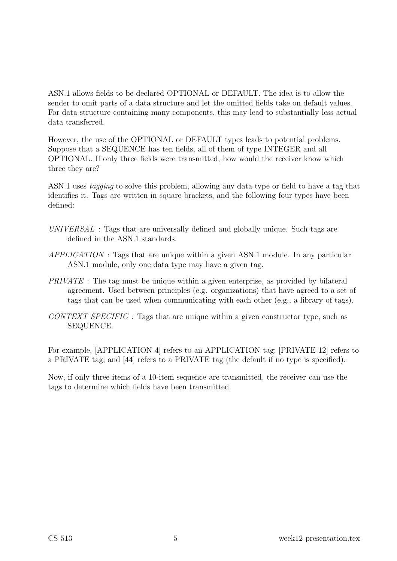ASN.1 allows fields to be declared OPTIONAL or DEFAULT. The idea is to allow the sender to omit parts of a data structure and let the omitted fields take on default values. For data structure containing many components, this may lead to substantially less actual data transferred.

However, the use of the OPTIONAL or DEFAULT types leads to potential problems. Suppose that a SEQUENCE has ten fields, all of them of type INTEGER and all OPTIONAL. If only three fields were transmitted, how would the receiver know which three they are?

ASN.1 uses tagging to solve this problem, allowing any data type or field to have a tag that identifies it. Tags are written in square brackets, and the following four types have been defined:

- UNIVERSAL : Tags that are universally defined and globally unique. Such tags are defined in the ASN.1 standards.
- APPLICATION : Tags that are unique within a given ASN.1 module. In any particular ASN.1 module, only one data type may have a given tag.
- PRIVATE : The tag must be unique within a given enterprise, as provided by bilateral agreement. Used between principles (e.g. organizations) that have agreed to a set of tags that can be used when communicating with each other (e.g., a library of tags).
- CONTEXT SPECIFIC : Tags that are unique within a given constructor type, such as SEQUENCE.

For example, [APPLICATION 4] refers to an APPLICATION tag; [PRIVATE 12] refers to a PRIVATE tag; and [44] refers to a PRIVATE tag (the default if no type is specified).

Now, if only three items of a 10-item sequence are transmitted, the receiver can use the tags to determine which fields have been transmitted.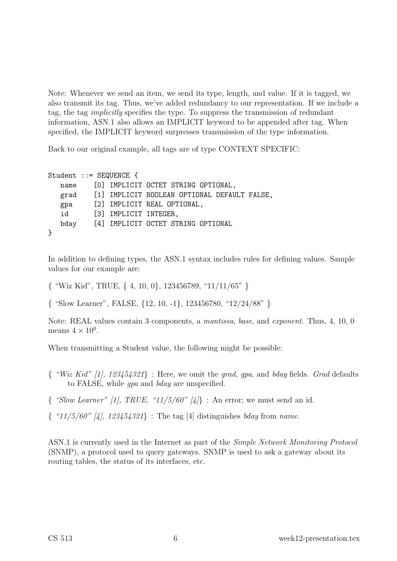Note: Whenever we send an item, we send its type, length, and value. If it is tagged, we also transmit its tag. Thus, we've added redundancy to our representation. If we include a tag, the tag implicitly specifies the type. To suppress the transmission of redundant information, ASN.1 also allows an IMPLICIT keyword to be appended after tag. When specified, the IMPLICIT keyword surpresses transmission of the type information.

Back to our original example, all tags are of type CONTEXT SPECIFIC:

```
Student ::= SEQUENCE {
  name [0] IMPLICIT OCTET STRING OPTIONAL,
  grad [1] IMPLICIT BOOLEAN OPTIONAL DEFAULT FALSE,
  gpa [2] IMPLICIT REAL OPTIONAL,
  id [3] IMPLICIT INTEGER,
  bday [4] IMPLICIT OCTET STRING OPTIONAL
}
```
In addition to defining types, the ASN.1 syntax includes rules for defining values. Sample values for our example are:

{ "Wiz Kid", TRUE, { 4, 10, 0}, 123456789, "11/11/65" }

{ "Slow Learner", FALSE, {12, 10, -1}, 123456780, "12/24/88" }

Note: REAL values contain 3 components, a mantissa, base, and exponent. Thus, 4, 10, 0 means  $4 \times 10^0$ .

When transmitting a Student value, the following might be possible:

- $\{$  "Wiz Kid" [1], 123454321} : Here, we omit the grad, gpa, and bday fields. Grad defaults to FALSE, while gpa and bday are unspecified.
- $\{$  "Slow Learner" [1], TRUE, "11/5/60" [4]} : An error; we must send an id.
- $\{$  "11/5/60" [4], 123454321} : The tag [4] distinguishes bday from name.

ASN.1 is currently used in the Internet as part of the Simple Network Monitoring Protocol (SNMP), a protocol used to query gateways. SNMP is used to ask a gateway about its routing tables, the status of its interfaces, etc.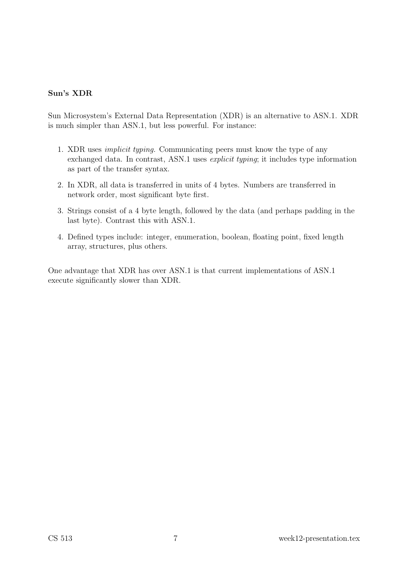#### Sun's XDR

Sun Microsystem's External Data Representation (XDR) is an alternative to ASN.1. XDR is much simpler than ASN.1, but less powerful. For instance:

- 1. XDR uses implicit typing. Communicating peers must know the type of any exchanged data. In contrast, ASN.1 uses *explicit typing*; it includes type information as part of the transfer syntax.
- 2. In XDR, all data is transferred in units of 4 bytes. Numbers are transferred in network order, most significant byte first.
- 3. Strings consist of a 4 byte length, followed by the data (and perhaps padding in the last byte). Contrast this with ASN.1.
- 4. Defined types include: integer, enumeration, boolean, floating point, fixed length array, structures, plus others.

One advantage that XDR has over ASN.1 is that current implementations of ASN.1 execute significantly slower than XDR.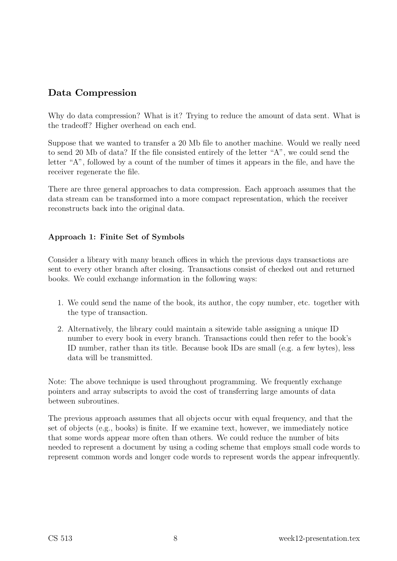# Data Compression

Why do data compression? What is it? Trying to reduce the amount of data sent. What is the tradeoff? Higher overhead on each end.

Suppose that we wanted to transfer a 20 Mb file to another machine. Would we really need to send 20 Mb of data? If the file consisted entirely of the letter "A", we could send the letter "A", followed by a count of the number of times it appears in the file, and have the receiver regenerate the file.

There are three general approaches to data compression. Each approach assumes that the data stream can be transformed into a more compact representation, which the receiver reconstructs back into the original data.

## Approach 1: Finite Set of Symbols

Consider a library with many branch offices in which the previous days transactions are sent to every other branch after closing. Transactions consist of checked out and returned books. We could exchange information in the following ways:

- 1. We could send the name of the book, its author, the copy number, etc. together with the type of transaction.
- 2. Alternatively, the library could maintain a sitewide table assigning a unique ID number to every book in every branch. Transactions could then refer to the book's ID number, rather than its title. Because book IDs are small (e.g. a few bytes), less data will be transmitted.

Note: The above technique is used throughout programming. We frequently exchange pointers and array subscripts to avoid the cost of transferring large amounts of data between subroutines.

The previous approach assumes that all objects occur with equal frequency, and that the set of objects (e.g., books) is finite. If we examine text, however, we immediately notice that some words appear more often than others. We could reduce the number of bits needed to represent a document by using a coding scheme that employs small code words to represent common words and longer code words to represent words the appear infrequently.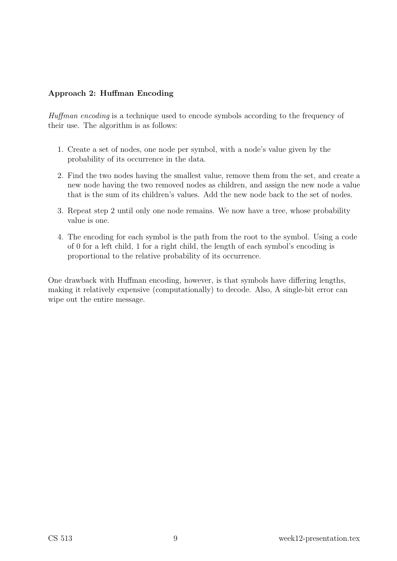## Approach 2: Huffman Encoding

Huffman encoding is a technique used to encode symbols according to the frequency of their use. The algorithm is as follows:

- 1. Create a set of nodes, one node per symbol, with a node's value given by the probability of its occurrence in the data.
- 2. Find the two nodes having the smallest value, remove them from the set, and create a new node having the two removed nodes as children, and assign the new node a value that is the sum of its children's values. Add the new node back to the set of nodes.
- 3. Repeat step 2 until only one node remains. We now have a tree, whose probability value is one.
- 4. The encoding for each symbol is the path from the root to the symbol. Using a code of 0 for a left child, 1 for a right child, the length of each symbol's encoding is proportional to the relative probability of its occurrence.

One drawback with Huffman encoding, however, is that symbols have differing lengths, making it relatively expensive (computationally) to decode. Also, A single-bit error can wipe out the entire message.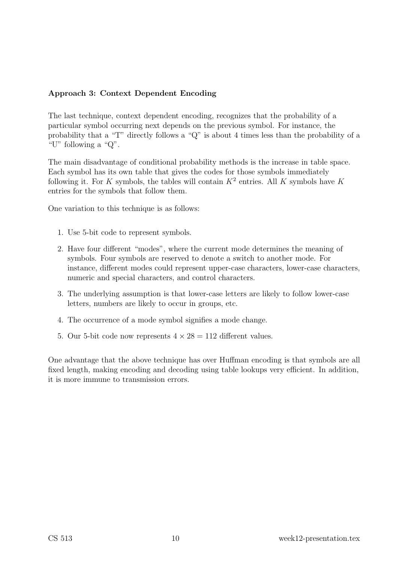## Approach 3: Context Dependent Encoding

The last technique, context dependent encoding, recognizes that the probability of a particular symbol occurring next depends on the previous symbol. For instance, the probability that a "T" directly follows a "Q" is about 4 times less than the probability of a "U" following a "Q".

The main disadvantage of conditional probability methods is the increase in table space. Each symbol has its own table that gives the codes for those symbols immediately following it. For K symbols, the tables will contain  $K^2$  entries. All K symbols have K entries for the symbols that follow them.

One variation to this technique is as follows:

- 1. Use 5-bit code to represent symbols.
- 2. Have four different "modes", where the current mode determines the meaning of symbols. Four symbols are reserved to denote a switch to another mode. For instance, different modes could represent upper-case characters, lower-case characters, numeric and special characters, and control characters.
- 3. The underlying assumption is that lower-case letters are likely to follow lower-case letters, numbers are likely to occur in groups, etc.
- 4. The occurrence of a mode symbol signifies a mode change.
- 5. Our 5-bit code now represents  $4 \times 28 = 112$  different values.

One advantage that the above technique has over Huffman encoding is that symbols are all fixed length, making encoding and decoding using table lookups very efficient. In addition, it is more immune to transmission errors.